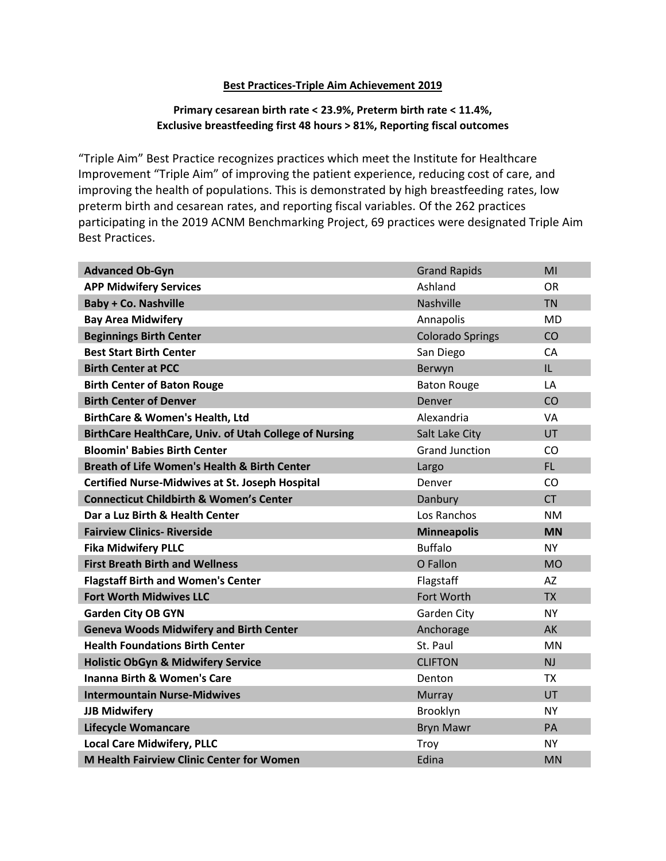## **Best Practices-Triple Aim Achievement 2019**

## **Primary cesarean birth rate < 23.9%, Preterm birth rate < 11.4%, Exclusive breastfeeding first 48 hours > 81%, Reporting fiscal outcomes**

"Triple Aim" Best Practice recognizes practices which meet the Institute for Healthcare Improvement "Triple Aim" of improving the patient experience, reducing cost of care, and improving the health of populations. This is demonstrated by high breastfeeding rates, low preterm birth and cesarean rates, and reporting fiscal variables. Of the 262 practices participating in the 2019 ACNM Benchmarking Project, 69 practices were designated Triple Aim Best Practices.

| <b>Advanced Ob-Gyn</b>                                  | <b>Grand Rapids</b>     | MI        |
|---------------------------------------------------------|-------------------------|-----------|
| <b>APP Midwifery Services</b>                           | Ashland                 | <b>OR</b> |
| <b>Baby + Co. Nashville</b>                             | Nashville               | <b>TN</b> |
| <b>Bay Area Midwifery</b>                               | Annapolis               | <b>MD</b> |
| <b>Beginnings Birth Center</b>                          | <b>Colorado Springs</b> | CO        |
| <b>Best Start Birth Center</b>                          | San Diego               | CA        |
| <b>Birth Center at PCC</b>                              | Berwyn                  | IL.       |
| <b>Birth Center of Baton Rouge</b>                      | <b>Baton Rouge</b>      | LA        |
| <b>Birth Center of Denver</b>                           | Denver                  | CO        |
| <b>BirthCare &amp; Women's Health, Ltd</b>              | Alexandria              | <b>VA</b> |
| BirthCare HealthCare, Univ. of Utah College of Nursing  | Salt Lake City          | UT        |
| <b>Bloomin' Babies Birth Center</b>                     | <b>Grand Junction</b>   | CO        |
| <b>Breath of Life Women's Health &amp; Birth Center</b> | Largo                   | FL.       |
| <b>Certified Nurse-Midwives at St. Joseph Hospital</b>  | Denver                  | CO        |
| <b>Connecticut Childbirth &amp; Women's Center</b>      | Danbury                 | <b>CT</b> |
| Dar a Luz Birth & Health Center                         | Los Ranchos             | <b>NM</b> |
| <b>Fairview Clinics- Riverside</b>                      | <b>Minneapolis</b>      | <b>MN</b> |
| <b>Fika Midwifery PLLC</b>                              | <b>Buffalo</b>          | <b>NY</b> |
| <b>First Breath Birth and Wellness</b>                  | O Fallon                | <b>MO</b> |
| <b>Flagstaff Birth and Women's Center</b>               | Flagstaff               | <b>AZ</b> |
| <b>Fort Worth Midwives LLC</b>                          | Fort Worth              | <b>TX</b> |
| <b>Garden City OB GYN</b>                               | Garden City             | <b>NY</b> |
| <b>Geneva Woods Midwifery and Birth Center</b>          | Anchorage               | AK        |
| <b>Health Foundations Birth Center</b>                  | St. Paul                | <b>MN</b> |
| <b>Holistic ObGyn &amp; Midwifery Service</b>           | <b>CLIFTON</b>          | <b>NJ</b> |
| <b>Inanna Birth &amp; Women's Care</b>                  | Denton                  | <b>TX</b> |
| <b>Intermountain Nurse-Midwives</b>                     | Murray                  | UT        |
| <b>JJB Midwifery</b>                                    | Brooklyn                | <b>NY</b> |
| <b>Lifecycle Womancare</b>                              | <b>Bryn Mawr</b>        | PA        |
| <b>Local Care Midwifery, PLLC</b>                       | Troy                    | <b>NY</b> |
| <b>M Health Fairview Clinic Center for Women</b>        | Edina                   | <b>MN</b> |